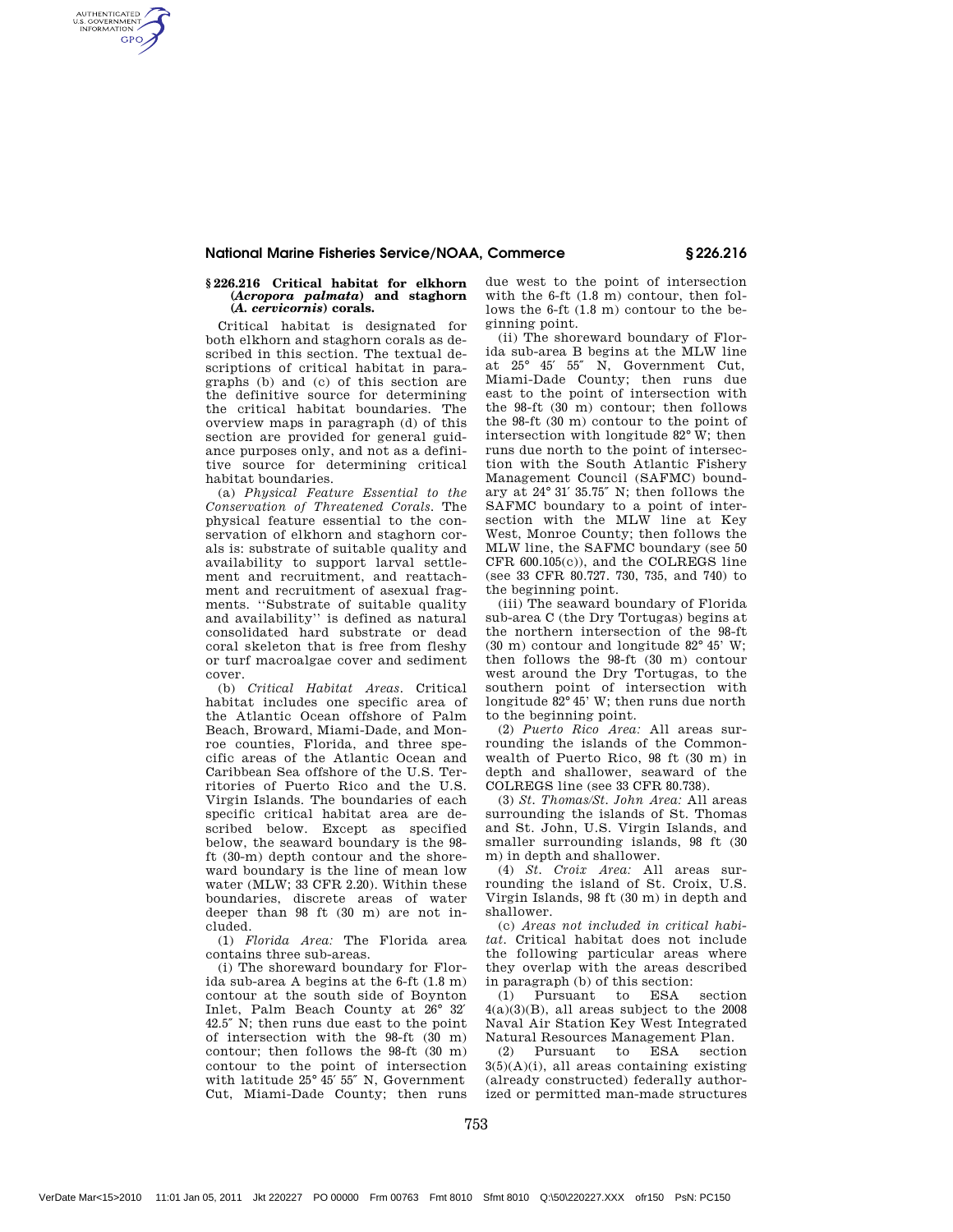### National Marine Fisheries Service/NOAA, Commerce § 226.216

### **§ 226.216 Critical habitat for elkhorn (***Acropora palmata***) and staghorn (***A. cervicornis***) corals.**

AUTHENTICATED<br>U.S. GOVERNMENT<br>INFORMATION **GPO** 

> Critical habitat is designated for both elkhorn and staghorn corals as described in this section. The textual descriptions of critical habitat in paragraphs (b) and (c) of this section are the definitive source for determining the critical habitat boundaries. The overview maps in paragraph (d) of this section are provided for general guidance purposes only, and not as a definitive source for determining critical habitat boundaries.

> (a) *Physical Feature Essential to the Conservation of Threatened Corals.* The physical feature essential to the conservation of elkhorn and staghorn corals is: substrate of suitable quality and availability to support larval settlement and recruitment, and reattachment and recruitment of asexual fragments. ''Substrate of suitable quality and availability'' is defined as natural consolidated hard substrate or dead coral skeleton that is free from fleshy or turf macroalgae cover and sediment cover.

> (b) *Critical Habitat Areas.* Critical habitat includes one specific area of the Atlantic Ocean offshore of Palm Beach, Broward, Miami-Dade, and Monroe counties, Florida, and three specific areas of the Atlantic Ocean and Caribbean Sea offshore of the U.S. Territories of Puerto Rico and the U.S. Virgin Islands. The boundaries of each specific critical habitat area are described below. Except as specified below, the seaward boundary is the 98 ft (30-m) depth contour and the shoreward boundary is the line of mean low water (MLW; 33 CFR 2.20). Within these boundaries, discrete areas of water deeper than 98 ft (30 m) are not included.

(1) *Florida Area:* The Florida area contains three sub-areas.

(i) The shoreward boundary for Florida sub-area A begins at the 6-ft (1.8 m) contour at the south side of Boynton Inlet, Palm Beach County at 26° 32′ 42.5″ N; then runs due east to the point of intersection with the 98-ft (30 m) contour; then follows the 98-ft (30 m) contour to the point of intersection with latitude 25° 45′ 55″ N, Government Cut, Miami-Dade County; then runs

due west to the point of intersection with the 6-ft (1.8 m) contour, then follows the 6-ft (1.8 m) contour to the beginning point.

(ii) The shoreward boundary of Florida sub-area B begins at the MLW line at 25° 45′ 55″ N, Government Cut, Miami-Dade County; then runs due east to the point of intersection with the 98-ft (30 m) contour; then follows the 98-ft (30 m) contour to the point of intersection with longitude  $82^\circ$  W; then runs due north to the point of intersection with the South Atlantic Fishery Management Council (SAFMC) boundary at 24° 31′ 35.75″ N; then follows the SAFMC boundary to a point of intersection with the MLW line at Key West, Monroe County; then follows the MLW line, the SAFMC boundary (see 50 CFR 600.105(c)), and the COLREGS line (see 33 CFR 80.727. 730, 735, and 740) to the beginning point.

(iii) The seaward boundary of Florida sub-area C (the Dry Tortugas) begins at the northern intersection of the 98-ft (30 m) contour and longitude 82° 45' W; then follows the 98-ft (30 m) contour west around the Dry Tortugas, to the southern point of intersection with longitude 82° 45' W; then runs due north to the beginning point.

(2) *Puerto Rico Area:* All areas surrounding the islands of the Commonwealth of Puerto Rico, 98 ft (30 m) in depth and shallower, seaward of the COLREGS line (see 33 CFR 80.738).

(3) *St. Thomas/St. John Area:* All areas surrounding the islands of St. Thomas and St. John, U.S. Virgin Islands, and smaller surrounding islands, 98 ft (30 m) in depth and shallower.

(4) *St. Croix Area:* All areas surrounding the island of St. Croix, U.S. Virgin Islands, 98 ft (30 m) in depth and shallower.

(c) *Areas not included in critical habitat.* Critical habitat does not include the following particular areas where they overlap with the areas described in paragraph (b) of this section:

(1) Pursuant to ESA section  $4(a)(3)(B)$ , all areas subject to the 2008 Naval Air Station Key West Integrated Natural Resources Management Plan.

(2) Pursuant to ESA section  $3(5)(A)(i)$ , all areas containing existing (already constructed) federally authorized or permitted man-made structures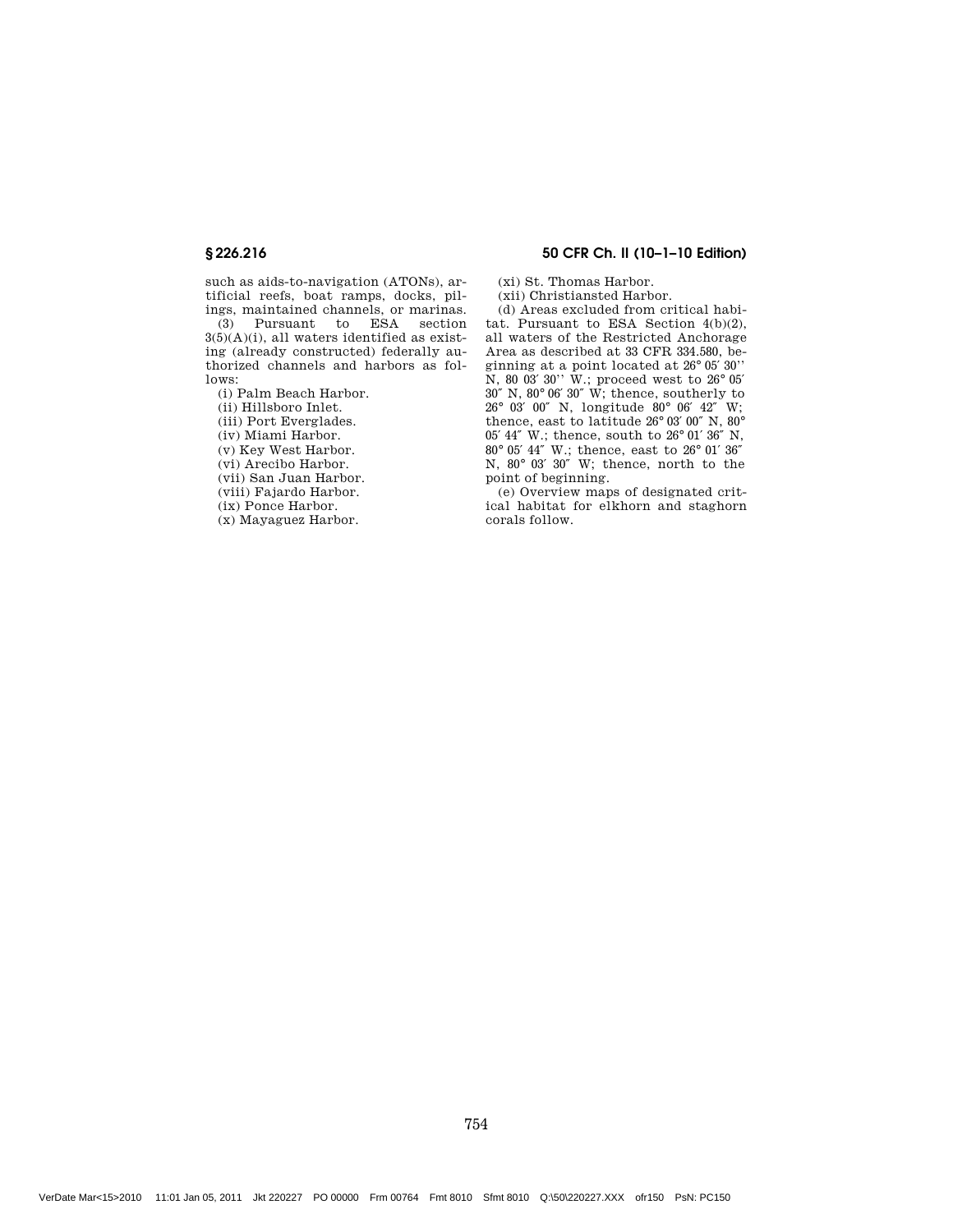such as aids-to-navigation (ATONs), artificial reefs, boat ramps, docks, pil-

ings, maintained channels, or marinas. Pursuant to ESA section  $3(5)(A)(i)$ , all waters identified as existing (already constructed) federally authorized channels and harbors as follows:

(i) Palm Beach Harbor.

(ii) Hillsboro Inlet.

(iii) Port Everglades.

(iv) Miami Harbor.

(v) Key West Harbor.

(vi) Arecibo Harbor.

(vii) San Juan Harbor.

(viii) Fajardo Harbor.

(ix) Ponce Harbor.

(x) Mayaguez Harbor.

### § 226.216 50 CFR Ch. II (10–1–10 Edition)

(xi) St. Thomas Harbor.

(xii) Christiansted Harbor.

(d) Areas excluded from critical habitat. Pursuant to ESA Section 4(b)(2), all waters of the Restricted Anchorage Area as described at 33 CFR 334.580, beginning at a point located at 26° 05′ 30'' N, 80 03′ 30'' W.; proceed west to 26° 05′ 30″ N, 80° 06′ 30″ W; thence, southerly to 26° 03′ 00″ N, longitude 80° 06′ 42″ W; thence, east to latitude 26° 03′ 00″ N, 80° 05′ 44″ W.; thence, south to 26° 01′ 36″ N, 80° 05′ 44″ W.; thence, east to 26° 01′ 36″ N, 80° 03′ 30″ W; thence, north to the point of beginning.

(e) Overview maps of designated critical habitat for elkhorn and staghorn corals follow.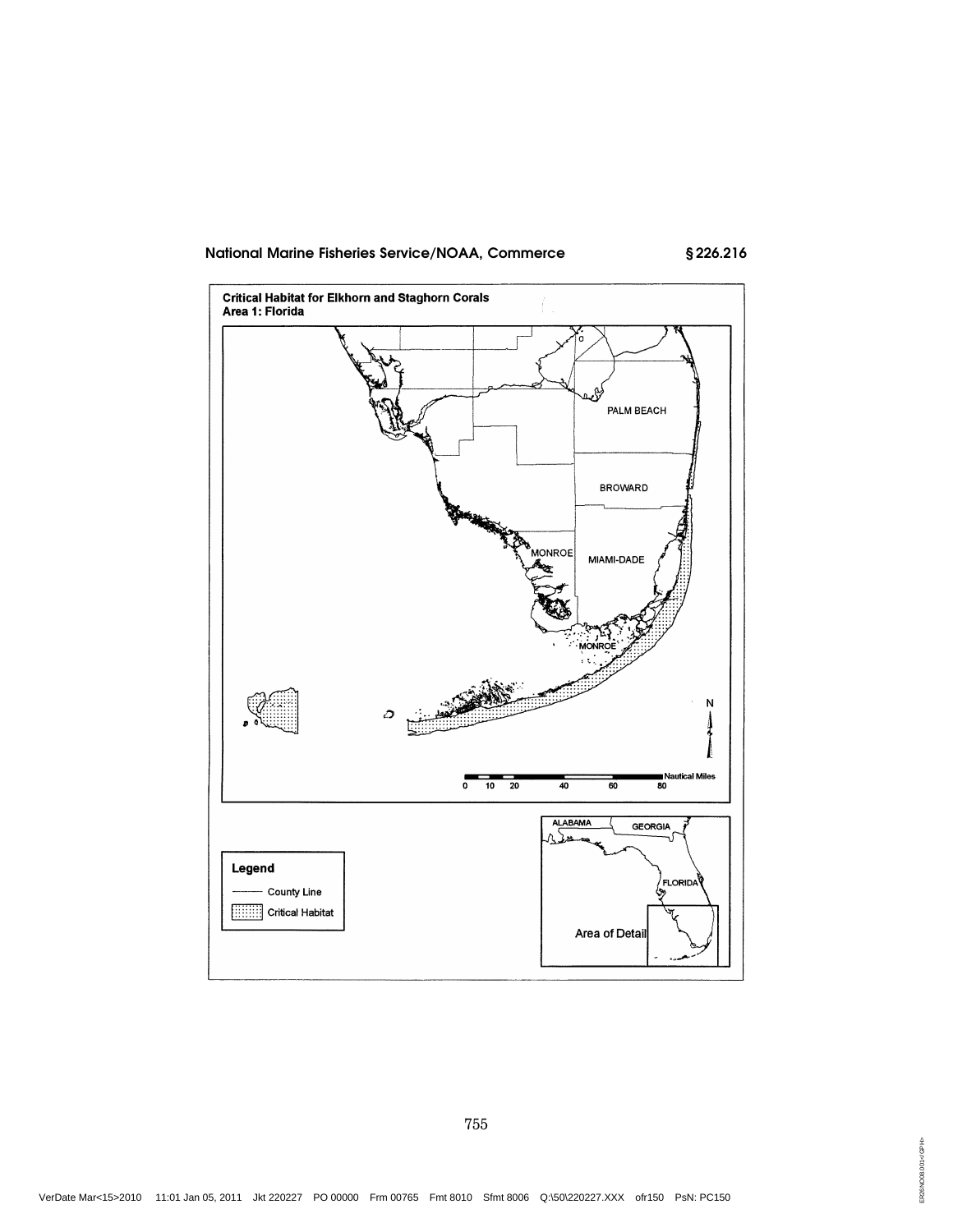## National Marine Fisheries Service/NOAA, Commerce

§226.216

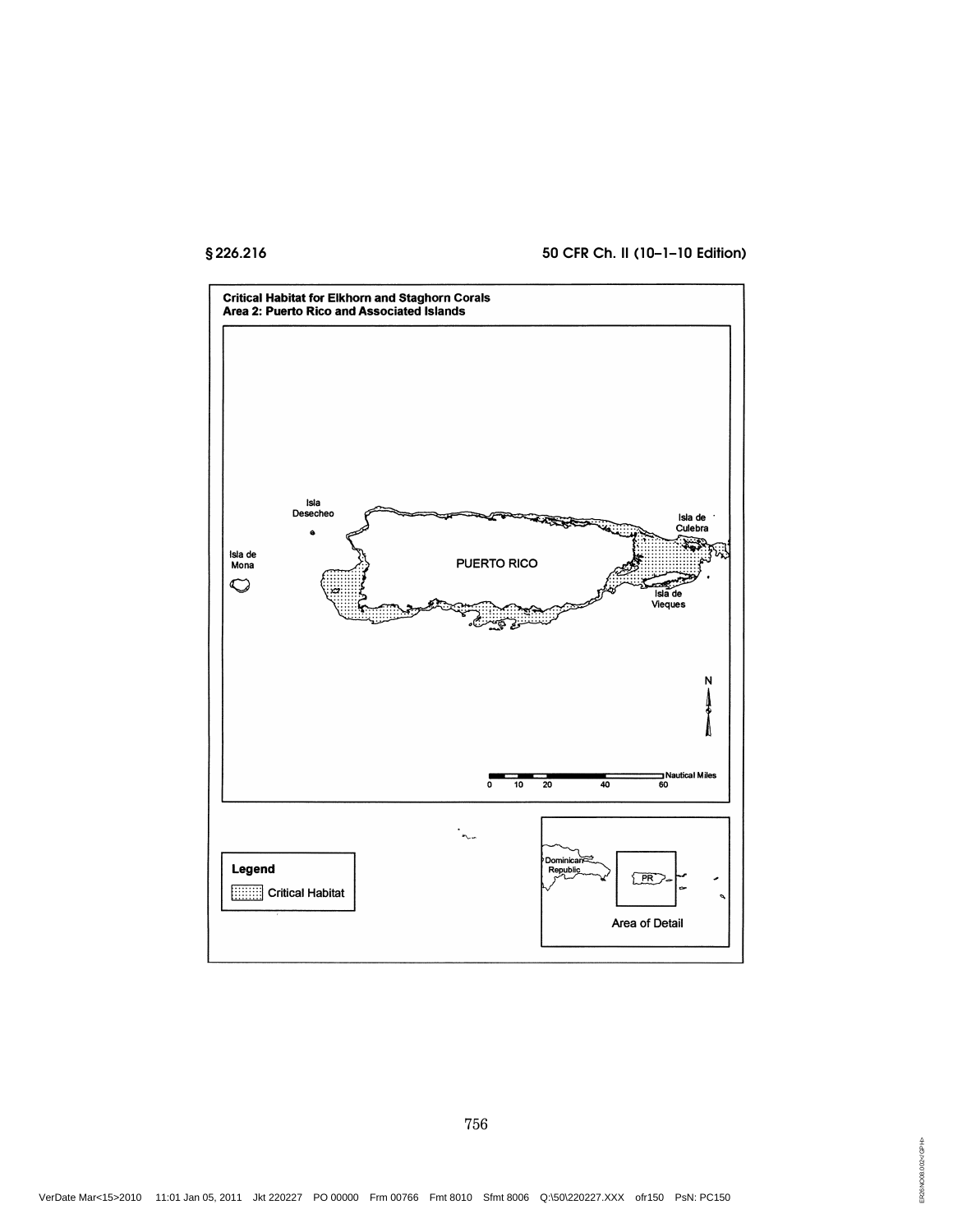## § 226.216 50 CFR Ch. II (10–1–10 Edition)

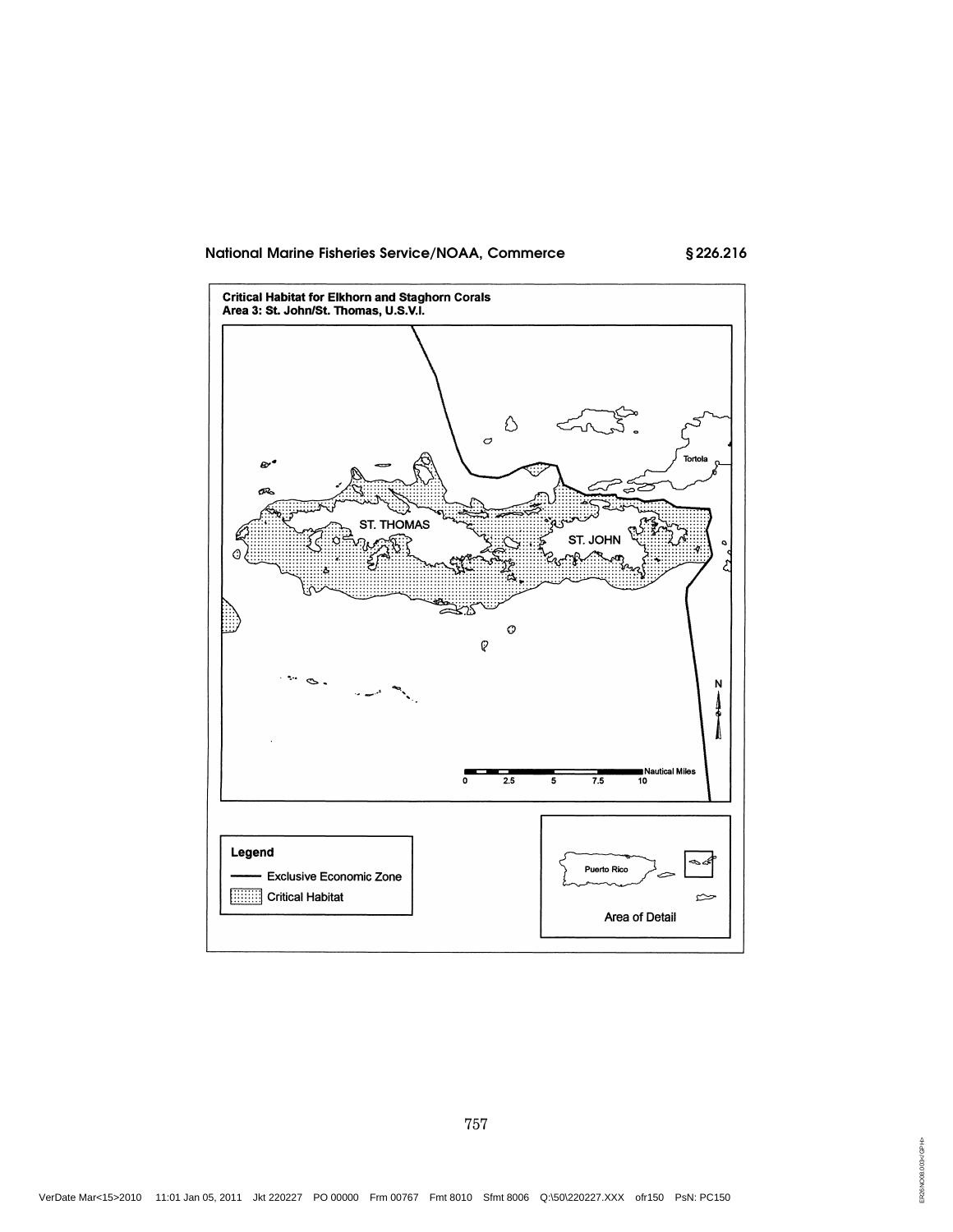# National Marine Fisheries Service/NOAA, Commerce

§226.216